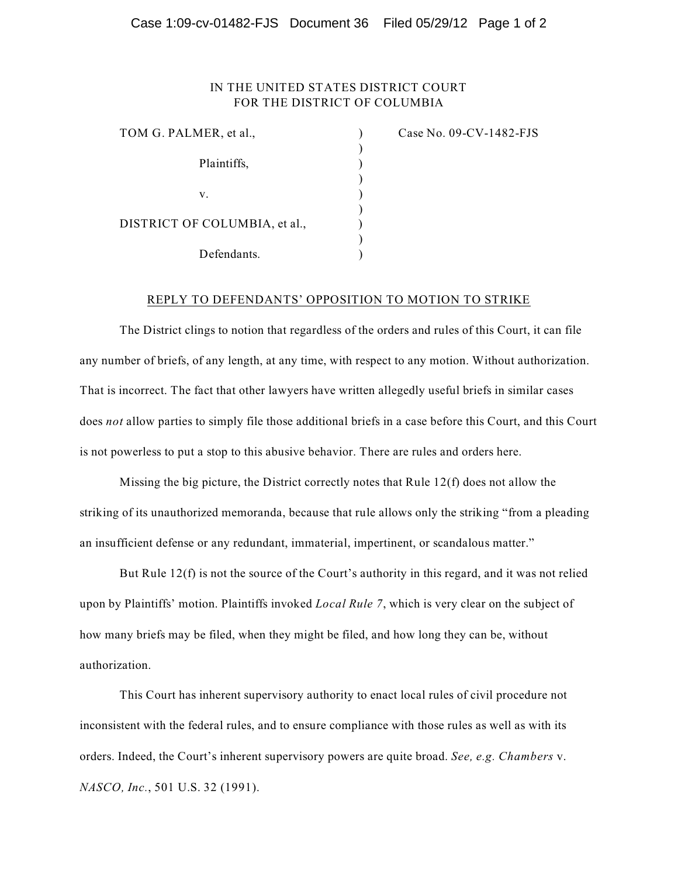## Case 1:09-cv-01482-FJS Document 36 Filed 05/29/12 Page 1 of 2

## IN THE UNITED STATES DISTRICT COURT FOR THE DISTRICT OF COLUMBIA

| TOM G. PALMER, et al.,        |  |
|-------------------------------|--|
| Plaintiffs,                   |  |
| V.                            |  |
| DISTRICT OF COLUMBIA, et al., |  |
| Defendants.                   |  |

Case No. 09-CV-1482-FJS

## REPLY TO DEFENDANTS' OPPOSITION TO MOTION TO STRIKE

The District clings to notion that regardless of the orders and rules of this Court, it can file any number of briefs, of any length, at any time, with respect to any motion. Without authorization. That is incorrect. The fact that other lawyers have written allegedly useful briefs in similar cases does *not* allow parties to simply file those additional briefs in a case before this Court, and this Court is not powerless to put a stop to this abusive behavior. There are rules and orders here.

Missing the big picture, the District correctly notes that Rule 12(f) does not allow the striking of its unauthorized memoranda, because that rule allows only the striking "from a pleading an insufficient defense or any redundant, immaterial, impertinent, or scandalous matter."

But Rule 12(f) is not the source of the Court's authority in this regard, and it was not relied upon by Plaintiffs' motion. Plaintiffs invoked *Local Rule 7*, which is very clear on the subject of how many briefs may be filed, when they might be filed, and how long they can be, without authorization.

This Court has inherent supervisory authority to enact local rules of civil procedure not inconsistent with the federal rules, and to ensure compliance with those rules as well as with its orders. Indeed, the Court's inherent supervisory powers are quite broad. *See, e.g. Chambers* v. *NASCO, Inc.*, 501 U.S. 32 (1991).